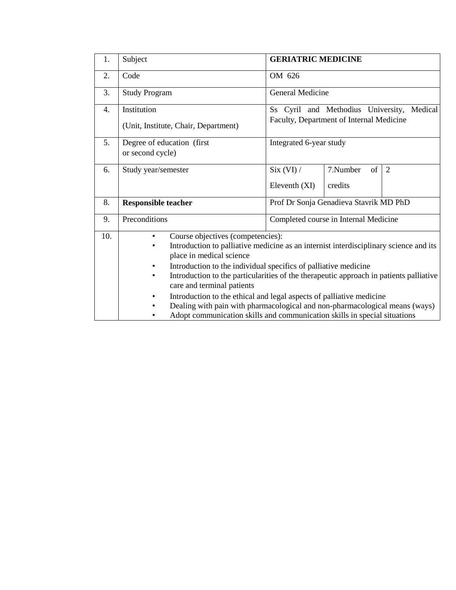| 1.  | Subject                                                                                            | <b>GERIATRIC MEDICINE</b>                                                                                                                                                                                                                                                                                                                                                                                                                      |                |                |  |  |  |  |
|-----|----------------------------------------------------------------------------------------------------|------------------------------------------------------------------------------------------------------------------------------------------------------------------------------------------------------------------------------------------------------------------------------------------------------------------------------------------------------------------------------------------------------------------------------------------------|----------------|----------------|--|--|--|--|
| 2.  | Code                                                                                               | OM 626                                                                                                                                                                                                                                                                                                                                                                                                                                         |                |                |  |  |  |  |
| 3.  | <b>Study Program</b>                                                                               | General Medicine                                                                                                                                                                                                                                                                                                                                                                                                                               |                |                |  |  |  |  |
| 4.  | Institution                                                                                        | Ss Cyril and Methodius University,<br>Medical                                                                                                                                                                                                                                                                                                                                                                                                  |                |                |  |  |  |  |
|     | (Unit, Institute, Chair, Department)                                                               | Faculty, Department of Internal Medicine                                                                                                                                                                                                                                                                                                                                                                                                       |                |                |  |  |  |  |
| 5.  | Degree of education (first<br>or second cycle)                                                     | Integrated 6-year study                                                                                                                                                                                                                                                                                                                                                                                                                        |                |                |  |  |  |  |
| 6.  | Study year/semester                                                                                | Six (VI) /                                                                                                                                                                                                                                                                                                                                                                                                                                     | 7.Number<br>of | $\overline{2}$ |  |  |  |  |
|     |                                                                                                    | Eleventh (XI)                                                                                                                                                                                                                                                                                                                                                                                                                                  | credits        |                |  |  |  |  |
| 8.  | <b>Responsible teacher</b>                                                                         | Prof Dr Sonja Genadieva Stavrik MD PhD                                                                                                                                                                                                                                                                                                                                                                                                         |                |                |  |  |  |  |
| 9.  | Preconditions                                                                                      | Completed course in Internal Medicine                                                                                                                                                                                                                                                                                                                                                                                                          |                |                |  |  |  |  |
| 10. | $\bullet$<br>place in medical science<br>$\bullet$<br>care and terminal patients<br>٠<br>$\bullet$ | Course objectives (competencies):<br>Introduction to palliative medicine as an internist interdisciplinary science and its<br>Introduction to the individual specifics of palliative medicine<br>Introduction to the particularities of the therapeutic approach in patients palliative<br>Introduction to the ethical and legal aspects of palliative medicine<br>Dealing with pain with pharmacological and non-pharmacological means (ways) |                |                |  |  |  |  |
|     | Adopt communication skills and communication skills in special situations                          |                                                                                                                                                                                                                                                                                                                                                                                                                                                |                |                |  |  |  |  |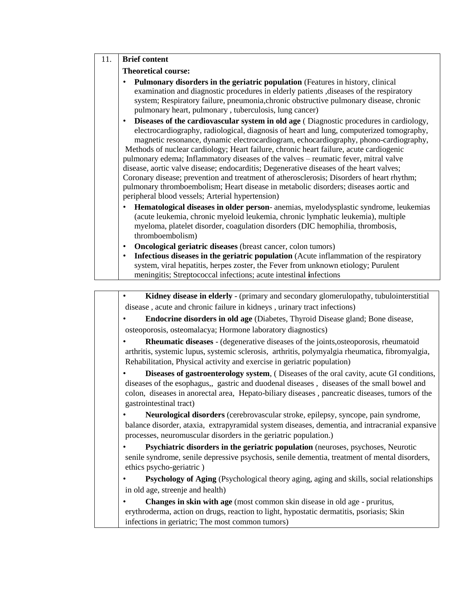## 11. **Brief content**

## **Theoretical course:**

- **Pulmonary disorders in the geriatric population** (Features in history, clinical examination and diagnostic procedures in elderly patients ,diseases of the respiratory system; Respiratory failure, pneumonia,chronic obstructive pulmonary disease, chronic pulmonary heart, pulmonary , tuberculosis, lung cancer)
- **Diseases of the cardiovascular system in old age** ( Diagnostic procedures in cardiology, electrocardiography, radiological, diagnosis of heart and lung, computerized tomography, magnetic resonance, dynamic electrocardiogram, echocardiography, phono-cardiography, Methods of nuclear cardiology; Heart failure, chronic heart failure, acute cardiogenic pulmonary edema; Inflammatory diseases of the valves – reumatic fever, mitral valve disease, aortic valve disease; endocarditis; Degenerative diseases of the heart valves; Coronary disease; prevention and treatment of atherosclerosis; Disorders of heart rhythm; pulmonary thromboembolism; Heart disease in metabolic disorders; diseases aortic and peripheral blood vessels; Arterial hypertension)
- **Hematological diseases in older person** anemias, myelodysplastic syndrome, leukemias (acute leukemia, chronic myeloid leukemia, chronic lymphatic leukemia), multiple myeloma, platelet disorder, coagulation disorders (DIC hemophilia, thrombosis, thromboembolism)
- **Oncological geriatric diseases** (breast cancer, colon tumors)
- **Infectious diseases in the geriatric population** (Acute inflammation of the respiratory system, viral hepatitis, herpes zoster, the Fever from unknown etiology; Purulent meningitis; Streptococcal infections; acute intestinal **i**nfections

| Kidney disease in elderly - (primary and secondary glomerulopathy, tubulointerstitial                                                                                                                                                                                                                              |
|--------------------------------------------------------------------------------------------------------------------------------------------------------------------------------------------------------------------------------------------------------------------------------------------------------------------|
| disease, acute and chronic failure in kidneys, urinary tract infections)                                                                                                                                                                                                                                           |
| <b>Endocrine disorders in old age</b> (Diabetes, Thyroid Disease gland; Bone disease,                                                                                                                                                                                                                              |
| osteoporosis, osteomalacya; Hormone laboratory diagnostics)                                                                                                                                                                                                                                                        |
| <b>Rheumatic diseases</b> - (degenerative diseases of the joints, osteoporosis, rheumatoid<br>arthritis, systemic lupus, systemic sclerosis, arthritis, polymyalgia rheumatica, fibromyalgia,<br>Rehabilitation, Physical activity and exercise in geriatric population)                                           |
| Diseases of gastroenterology system, (Diseases of the oral cavity, acute GI conditions,<br>diseases of the esophagus,, gastric and duodenal diseases, diseases of the small bowel and<br>colon, diseases in anorectal area, Hepato-biliary diseases, pancreatic diseases, tumors of the<br>gastrointestinal tract) |
| Neurological disorders (cerebrovascular stroke, epilepsy, syncope, pain syndrome,<br>balance disorder, ataxia, extrapyramidal system diseases, dementia, and intracranial expansive<br>processes, neuromuscular disorders in the geriatric population.)                                                            |
| Psychiatric disorders in the geriatric population (neuroses, psychoses, Neurotic<br>senile syndrome, senile depressive psychosis, senile dementia, treatment of mental disorders,<br>ethics psycho-geriatric)                                                                                                      |
| <b>Psychology of Aging</b> (Psychological theory aging, aging and skills, social relationships                                                                                                                                                                                                                     |
| in old age, streenje and health)                                                                                                                                                                                                                                                                                   |
| <b>Changes in skin with age</b> (most common skin disease in old age - pruritus,                                                                                                                                                                                                                                   |
| erythroderma, action on drugs, reaction to light, hypostatic dermatitis, psoriasis; Skin                                                                                                                                                                                                                           |
| infections in geriatric; The most common tumors)                                                                                                                                                                                                                                                                   |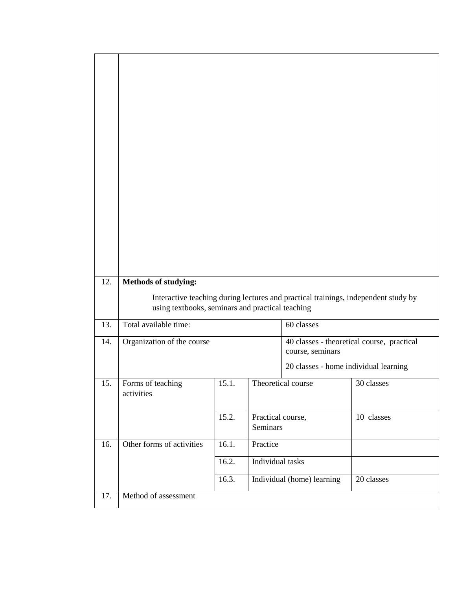| 12. | Methods of studying:<br>Interactive teaching during lectures and practical trainings, independent study by |       |                               |                                                                |            |  |  |
|-----|------------------------------------------------------------------------------------------------------------|-------|-------------------------------|----------------------------------------------------------------|------------|--|--|
|     | using textbooks, seminars and practical teaching                                                           |       |                               |                                                                |            |  |  |
| 13. | Total available time:                                                                                      |       |                               | 60 classes                                                     |            |  |  |
| 14. | Organization of the course                                                                                 |       |                               | 40 classes - theoretical course, practical<br>course, seminars |            |  |  |
|     |                                                                                                            |       |                               | 20 classes - home individual learning                          |            |  |  |
| 15. | Forms of teaching<br>activities                                                                            | 15.1. |                               | Theoretical course                                             | 30 classes |  |  |
|     |                                                                                                            | 15.2. | Practical course,<br>Seminars |                                                                | 10 classes |  |  |
| 16. | Other forms of activities                                                                                  | 16.1. | Practice                      |                                                                |            |  |  |
|     |                                                                                                            | 16.2. | Individual tasks              |                                                                |            |  |  |
|     |                                                                                                            | 16.3. |                               | Individual (home) learning                                     | 20 classes |  |  |
| 17. | Method of assessment                                                                                       |       |                               |                                                                |            |  |  |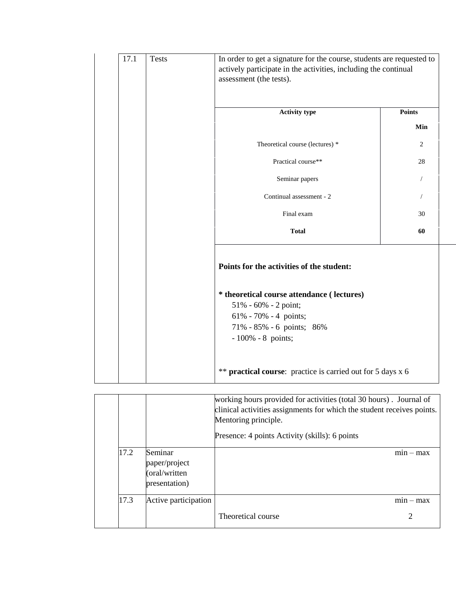| 17.1 | <b>Tests</b> | In order to get a signature for the course, students are requested to<br>actively participate in the activities, including the continual<br>assessment (the tests). |                |  |  |  |
|------|--------------|---------------------------------------------------------------------------------------------------------------------------------------------------------------------|----------------|--|--|--|
|      |              | <b>Activity type</b>                                                                                                                                                | <b>Points</b>  |  |  |  |
|      |              |                                                                                                                                                                     | Min            |  |  |  |
|      |              | Theoretical course (lectures) *                                                                                                                                     | 2              |  |  |  |
|      |              | Practical course**                                                                                                                                                  | 28             |  |  |  |
|      |              | Seminar papers                                                                                                                                                      | $\overline{1}$ |  |  |  |
|      |              | Continual assessment - 2                                                                                                                                            |                |  |  |  |
|      |              | Final exam                                                                                                                                                          | 30             |  |  |  |
|      |              | <b>Total</b>                                                                                                                                                        | 60             |  |  |  |
|      |              | Points for the activities of the student:                                                                                                                           |                |  |  |  |
|      |              | * theoretical course attendance ( lectures)<br>51% - 60% - 2 point;<br>$61\% - 70\% - 4$ points;<br>71% - 85% - 6 points; 86%<br>$-100\% - 8$ points;               |                |  |  |  |
|      |              | ** <b>practical course</b> : practice is carried out for 5 days x 6                                                                                                 |                |  |  |  |

|      |                                                            | working hours provided for activities (total 30 hours). Journal of<br>clinical activities assignments for which the student receives points.<br>Mentoring principle. |            |
|------|------------------------------------------------------------|----------------------------------------------------------------------------------------------------------------------------------------------------------------------|------------|
|      |                                                            | Presence: 4 points Activity (skills): 6 points                                                                                                                       |            |
| 17.2 | Seminar<br>paper/project<br>(oral/written<br>presentation) |                                                                                                                                                                      | $mn - max$ |
| 17.3 | Active participation                                       |                                                                                                                                                                      | $mn - max$ |
|      |                                                            | Theoretical course                                                                                                                                                   | 2          |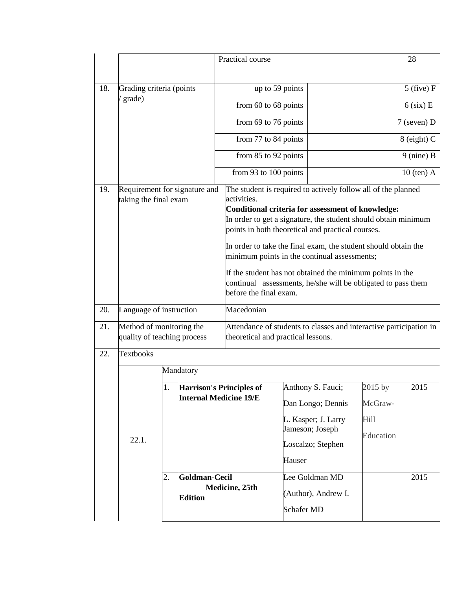|     |                                                         | Practical course                    |                                 |                                                                                                                                                                                                                                                                                                                                                                                                                                                                                                                                          |                   |                                                                                                       |                                                | 28           |  |
|-----|---------------------------------------------------------|-------------------------------------|---------------------------------|------------------------------------------------------------------------------------------------------------------------------------------------------------------------------------------------------------------------------------------------------------------------------------------------------------------------------------------------------------------------------------------------------------------------------------------------------------------------------------------------------------------------------------------|-------------------|-------------------------------------------------------------------------------------------------------|------------------------------------------------|--------------|--|
|     |                                                         |                                     |                                 |                                                                                                                                                                                                                                                                                                                                                                                                                                                                                                                                          |                   |                                                                                                       |                                                |              |  |
| 18. | Grading criteria (points                                |                                     |                                 | up to 59 points                                                                                                                                                                                                                                                                                                                                                                                                                                                                                                                          |                   |                                                                                                       | $5$ (five) F                                   |              |  |
|     | grade)                                                  |                                     |                                 | from $60$ to $68$ points                                                                                                                                                                                                                                                                                                                                                                                                                                                                                                                 |                   | $6$ (six) E                                                                                           |                                                |              |  |
|     |                                                         |                                     |                                 | from 69 to 76 points                                                                                                                                                                                                                                                                                                                                                                                                                                                                                                                     |                   |                                                                                                       |                                                | 7 (seven) D  |  |
|     |                                                         |                                     |                                 | from 77 to 84 points                                                                                                                                                                                                                                                                                                                                                                                                                                                                                                                     |                   |                                                                                                       | 8 (eight) C                                    |              |  |
|     |                                                         |                                     |                                 | from 85 to 92 points                                                                                                                                                                                                                                                                                                                                                                                                                                                                                                                     |                   | $9$ (nine) B                                                                                          |                                                |              |  |
|     |                                                         |                                     |                                 | from 93 to 100 points                                                                                                                                                                                                                                                                                                                                                                                                                                                                                                                    |                   |                                                                                                       |                                                | $10$ (ten) A |  |
| 19. | Requirement for signature and<br>taking the final exam  |                                     |                                 | The student is required to actively follow all of the planned<br>activities.<br><b>Conditional criteria for assessment of knowledge:</b><br>In order to get a signature, the student should obtain minimum<br>points in both theoretical and practical courses.<br>In order to take the final exam, the student should obtain the<br>minimum points in the continual assessments;<br>If the student has not obtained the minimum points in the<br>continual assessments, he/she will be obligated to pass them<br>before the final exam. |                   |                                                                                                       |                                                |              |  |
| 20. | Language of instruction                                 |                                     |                                 | Macedonian                                                                                                                                                                                                                                                                                                                                                                                                                                                                                                                               |                   |                                                                                                       |                                                |              |  |
| 21. | Method of monitoring the<br>quality of teaching process |                                     |                                 | Attendance of students to classes and interactive participation in<br>theoretical and practical lessons.                                                                                                                                                                                                                                                                                                                                                                                                                                 |                   |                                                                                                       |                                                |              |  |
| 22. | <b>Textbooks</b>                                        |                                     |                                 |                                                                                                                                                                                                                                                                                                                                                                                                                                                                                                                                          |                   |                                                                                                       |                                                |              |  |
|     |                                                         |                                     | Mandatory                       |                                                                                                                                                                                                                                                                                                                                                                                                                                                                                                                                          |                   |                                                                                                       |                                                |              |  |
|     | 22.1.                                                   | 1.<br><b>Internal Medicine 19/E</b> |                                 | <b>Harrison's Principles of</b>                                                                                                                                                                                                                                                                                                                                                                                                                                                                                                          | Hauser            | Anthony S. Fauci;<br>Dan Longo; Dennis<br>L. Kasper; J. Larry<br>Jameson; Joseph<br>Loscalzo; Stephen | 2015 by<br>McGraw-<br><b>Hill</b><br>Education | 2015         |  |
|     |                                                         | 2.                                  | Goldman-Cecil<br><b>Edition</b> | Medicine, 25th                                                                                                                                                                                                                                                                                                                                                                                                                                                                                                                           | <b>Schafer MD</b> | Lee Goldman MD<br>(Author), Andrew I.                                                                 |                                                | 2015         |  |